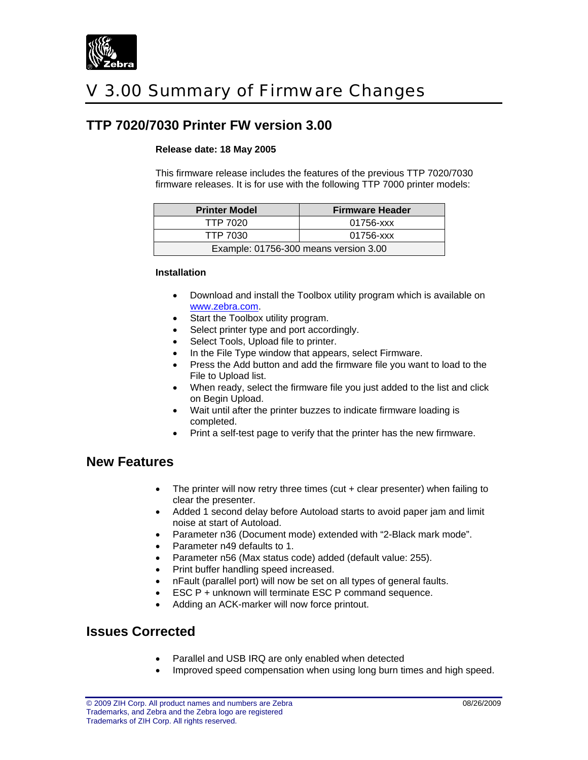

# V 3.00 Summary of Firmware Changes

## **TTP 7020/7030 Printer FW version 3.00**

#### **Release date: 18 May 2005**

This firmware release includes the features of the previous TTP 7020/7030 firmware releases. It is for use with the following TTP 7000 printer models:

| <b>Printer Model</b>                  | <b>Firmware Header</b> |
|---------------------------------------|------------------------|
| TTP 7020                              | 01756-xxx              |
| TTP 7030                              | 01756-xxx              |
| Example: 01756-300 means version 3.00 |                        |

#### **Installation**

- Download and install the Toolbox utility program which is available on [www.zebra.com](http://www.zebra.com/).
- Start the Toolbox utility program.
- Select printer type and port accordingly.
- Select Tools, Upload file to printer.
- In the File Type window that appears, select Firmware.
- Press the Add button and add the firmware file you want to load to the File to Upload list.
- When ready, select the firmware file you just added to the list and click on Begin Upload.
- Wait until after the printer buzzes to indicate firmware loading is completed.
- Print a self-test page to verify that the printer has the new firmware.

### **New Features**

- The printer will now retry three times (cut  $+$  clear presenter) when failing to clear the presenter.
- Added 1 second delay before Autoload starts to avoid paper jam and limit noise at start of Autoload.
- Parameter n36 (Document mode) extended with "2-Black mark mode".
- Parameter n49 defaults to 1.
- Parameter n56 (Max status code) added (default value: 255).
- Print buffer handling speed increased.
- nFault (parallel port) will now be set on all types of general faults.
- ESC P + unknown will terminate ESC P command sequence.
- Adding an ACK-marker will now force printout.

## **Issues Corrected**

- Parallel and USB IRQ are only enabled when detected
- Improved speed compensation when using long burn times and high speed.